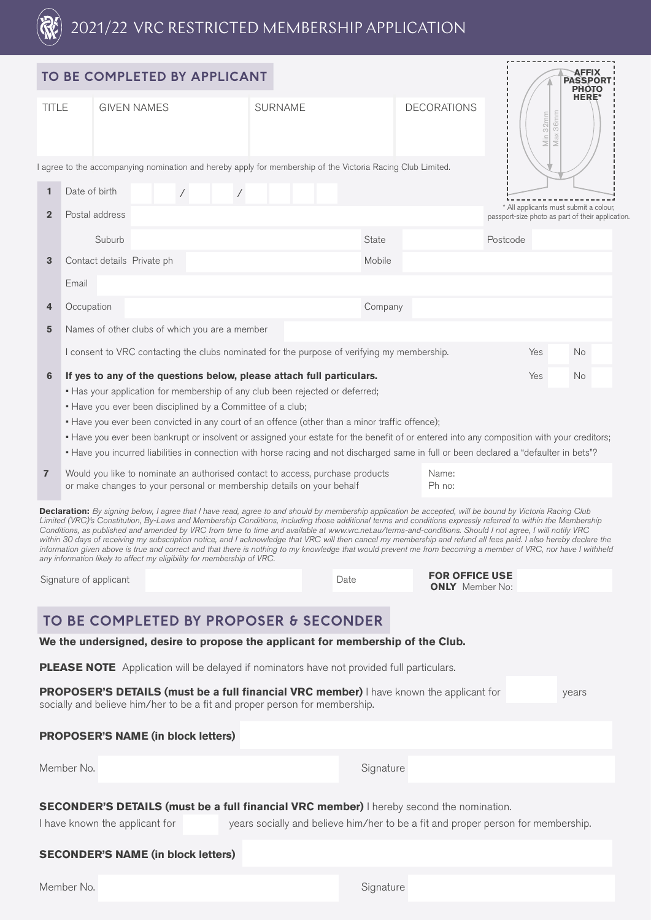

|                                                                                                                                                                                |                                                                                                                                                                           |                        | TO BE COMPLETED BY APPLICANT                                                 |  |        |                |  |  |  |                                                                                             |                                                                                                             |              |                                                                                                                                                                                                                                                                                                                                                                                                                                                                                                                                                                                                                                                                                                                                                                                                                               |          |  | <b>AFFIX</b><br><b>PASSPORT</b><br><b>PHOTO</b> |  |
|--------------------------------------------------------------------------------------------------------------------------------------------------------------------------------|---------------------------------------------------------------------------------------------------------------------------------------------------------------------------|------------------------|------------------------------------------------------------------------------|--|--------|----------------|--|--|--|---------------------------------------------------------------------------------------------|-------------------------------------------------------------------------------------------------------------|--------------|-------------------------------------------------------------------------------------------------------------------------------------------------------------------------------------------------------------------------------------------------------------------------------------------------------------------------------------------------------------------------------------------------------------------------------------------------------------------------------------------------------------------------------------------------------------------------------------------------------------------------------------------------------------------------------------------------------------------------------------------------------------------------------------------------------------------------------|----------|--|-------------------------------------------------|--|
| <b>TITLE</b>                                                                                                                                                                   |                                                                                                                                                                           |                        | <b>GIVEN NAMES</b>                                                           |  |        | <b>SURNAME</b> |  |  |  | <b>DECORATIONS</b><br>36mm<br>Min 32mm<br>Max                                               |                                                                                                             | <b>HERE*</b> |                                                                                                                                                                                                                                                                                                                                                                                                                                                                                                                                                                                                                                                                                                                                                                                                                               |          |  |                                                 |  |
|                                                                                                                                                                                |                                                                                                                                                                           |                        |                                                                              |  |        |                |  |  |  |                                                                                             | I agree to the accompanying nomination and hereby apply for membership of the Victoria Racing Club Limited. |              |                                                                                                                                                                                                                                                                                                                                                                                                                                                                                                                                                                                                                                                                                                                                                                                                                               |          |  |                                                 |  |
| Date of birth<br>$\mathbf{1}$<br>$\sqrt{2}$<br>$\sqrt{2}$                                                                                                                      |                                                                                                                                                                           |                        |                                                                              |  |        |                |  |  |  |                                                                                             |                                                                                                             |              |                                                                                                                                                                                                                                                                                                                                                                                                                                                                                                                                                                                                                                                                                                                                                                                                                               |          |  |                                                 |  |
| Postal address<br>$\overline{2}$                                                                                                                                               |                                                                                                                                                                           |                        |                                                                              |  |        |                |  |  |  | * All applicants must submit a colour,<br>passport-size photo as part of their application. |                                                                                                             |              |                                                                                                                                                                                                                                                                                                                                                                                                                                                                                                                                                                                                                                                                                                                                                                                                                               |          |  |                                                 |  |
|                                                                                                                                                                                |                                                                                                                                                                           | Suburb                 |                                                                              |  |        |                |  |  |  |                                                                                             | State                                                                                                       |              |                                                                                                                                                                                                                                                                                                                                                                                                                                                                                                                                                                                                                                                                                                                                                                                                                               | Postcode |  |                                                 |  |
| 3                                                                                                                                                                              | Contact details Private ph                                                                                                                                                |                        |                                                                              |  | Mobile |                |  |  |  |                                                                                             |                                                                                                             |              |                                                                                                                                                                                                                                                                                                                                                                                                                                                                                                                                                                                                                                                                                                                                                                                                                               |          |  |                                                 |  |
|                                                                                                                                                                                | Email                                                                                                                                                                     |                        |                                                                              |  |        |                |  |  |  |                                                                                             |                                                                                                             |              |                                                                                                                                                                                                                                                                                                                                                                                                                                                                                                                                                                                                                                                                                                                                                                                                                               |          |  |                                                 |  |
| 4                                                                                                                                                                              | Occupation                                                                                                                                                                |                        |                                                                              |  |        |                |  |  |  |                                                                                             | Company                                                                                                     |              |                                                                                                                                                                                                                                                                                                                                                                                                                                                                                                                                                                                                                                                                                                                                                                                                                               |          |  |                                                 |  |
| 5                                                                                                                                                                              | Names of other clubs of which you are a member                                                                                                                            |                        |                                                                              |  |        |                |  |  |  |                                                                                             |                                                                                                             |              |                                                                                                                                                                                                                                                                                                                                                                                                                                                                                                                                                                                                                                                                                                                                                                                                                               |          |  |                                                 |  |
|                                                                                                                                                                                |                                                                                                                                                                           |                        |                                                                              |  |        |                |  |  |  |                                                                                             | I consent to VRC contacting the clubs nominated for the purpose of verifying my membership.                 |              |                                                                                                                                                                                                                                                                                                                                                                                                                                                                                                                                                                                                                                                                                                                                                                                                                               | Yes      |  | No                                              |  |
| 6                                                                                                                                                                              |                                                                                                                                                                           |                        | If yes to any of the questions below, please attach full particulars.        |  |        |                |  |  |  |                                                                                             |                                                                                                             |              |                                                                                                                                                                                                                                                                                                                                                                                                                                                                                                                                                                                                                                                                                                                                                                                                                               | Yes      |  | No                                              |  |
|                                                                                                                                                                                |                                                                                                                                                                           |                        | . Has your application for membership of any club been rejected or deferred; |  |        |                |  |  |  |                                                                                             |                                                                                                             |              |                                                                                                                                                                                                                                                                                                                                                                                                                                                                                                                                                                                                                                                                                                                                                                                                                               |          |  |                                                 |  |
|                                                                                                                                                                                |                                                                                                                                                                           |                        | . Have you ever been disciplined by a Committee of a club;                   |  |        |                |  |  |  |                                                                                             | • Have you ever been convicted in any court of an offence (other than a minor traffic offence);             |              |                                                                                                                                                                                                                                                                                                                                                                                                                                                                                                                                                                                                                                                                                                                                                                                                                               |          |  |                                                 |  |
|                                                                                                                                                                                |                                                                                                                                                                           |                        |                                                                              |  |        |                |  |  |  |                                                                                             |                                                                                                             |              | - Have you ever been bankrupt or insolvent or assigned your estate for the benefit of or entered into any composition with your creditors;                                                                                                                                                                                                                                                                                                                                                                                                                                                                                                                                                                                                                                                                                    |          |  |                                                 |  |
|                                                                                                                                                                                |                                                                                                                                                                           |                        |                                                                              |  |        |                |  |  |  |                                                                                             |                                                                                                             |              | • Have you incurred liabilities in connection with horse racing and not discharged same in full or been declared a "defaulter in bets"?                                                                                                                                                                                                                                                                                                                                                                                                                                                                                                                                                                                                                                                                                       |          |  |                                                 |  |
| $\overline{7}$                                                                                                                                                                 | Would you like to nominate an authorised contact to access, purchase products<br>Name:<br>or make changes to your personal or membership details on your behalf<br>Ph no: |                        |                                                                              |  |        |                |  |  |  |                                                                                             |                                                                                                             |              |                                                                                                                                                                                                                                                                                                                                                                                                                                                                                                                                                                                                                                                                                                                                                                                                                               |          |  |                                                 |  |
|                                                                                                                                                                                |                                                                                                                                                                           |                        | any information likely to affect my eligibility for membership of VRC.       |  |        |                |  |  |  |                                                                                             |                                                                                                             |              | Declaration: By signing below, I agree that I have read, agree to and should by membership application be accepted, will be bound by Victoria Racing Club<br>Limited (VRC)'s Constitution, By-Laws and Membership Conditions, including those additional terms and conditions expressly referred to within the Membership<br>Conditions, as published and amended by VRC from time to time and available at www.vrc.net.au/terms-and-conditions. Should I not agree, I will notify VRC<br>within 30 days of receiving my subscription notice, and I acknowledge that VRC will then cancel my membership and refund all fees paid. I also hereby declare the<br>information given above is true and correct and that there is nothing to my knowledge that would prevent me from becoming a member of VRC, nor have I withheld |          |  |                                                 |  |
|                                                                                                                                                                                |                                                                                                                                                                           | Signature of applicant |                                                                              |  |        |                |  |  |  | Date                                                                                        |                                                                                                             |              | <b>FOR OFFICE USE</b><br><b>ONLY</b> Member No:                                                                                                                                                                                                                                                                                                                                                                                                                                                                                                                                                                                                                                                                                                                                                                               |          |  |                                                 |  |
|                                                                                                                                                                                |                                                                                                                                                                           |                        | TO BE COMPLETED BY PROPOSER & SECONDER                                       |  |        |                |  |  |  |                                                                                             |                                                                                                             |              |                                                                                                                                                                                                                                                                                                                                                                                                                                                                                                                                                                                                                                                                                                                                                                                                                               |          |  |                                                 |  |
|                                                                                                                                                                                |                                                                                                                                                                           |                        |                                                                              |  |        |                |  |  |  |                                                                                             |                                                                                                             |              | We the undersigned, desire to propose the applicant for membership of the Club.                                                                                                                                                                                                                                                                                                                                                                                                                                                                                                                                                                                                                                                                                                                                               |          |  |                                                 |  |
|                                                                                                                                                                                |                                                                                                                                                                           |                        |                                                                              |  |        |                |  |  |  |                                                                                             | <b>PLEASE NOTE</b> Application will be delayed if nominators have not provided full particulars.            |              |                                                                                                                                                                                                                                                                                                                                                                                                                                                                                                                                                                                                                                                                                                                                                                                                                               |          |  |                                                 |  |
| PROPOSER'S DETAILS (must be a full financial VRC member) I have known the applicant for<br>years<br>socially and believe him/her to be a fit and proper person for membership. |                                                                                                                                                                           |                        |                                                                              |  |        |                |  |  |  |                                                                                             |                                                                                                             |              |                                                                                                                                                                                                                                                                                                                                                                                                                                                                                                                                                                                                                                                                                                                                                                                                                               |          |  |                                                 |  |
|                                                                                                                                                                                |                                                                                                                                                                           |                        | <b>PROPOSER'S NAME (in block letters)</b>                                    |  |        |                |  |  |  |                                                                                             |                                                                                                             |              |                                                                                                                                                                                                                                                                                                                                                                                                                                                                                                                                                                                                                                                                                                                                                                                                                               |          |  |                                                 |  |
|                                                                                                                                                                                | Member No.                                                                                                                                                                |                        |                                                                              |  |        |                |  |  |  |                                                                                             | Signature                                                                                                   |              |                                                                                                                                                                                                                                                                                                                                                                                                                                                                                                                                                                                                                                                                                                                                                                                                                               |          |  |                                                 |  |
|                                                                                                                                                                                |                                                                                                                                                                           |                        | I have known the applicant for                                               |  |        |                |  |  |  |                                                                                             |                                                                                                             |              | <b>SECONDER'S DETAILS (must be a full financial VRC member)</b> I hereby second the nomination.<br>years socially and believe him/her to be a fit and proper person for membership.                                                                                                                                                                                                                                                                                                                                                                                                                                                                                                                                                                                                                                           |          |  |                                                 |  |
|                                                                                                                                                                                |                                                                                                                                                                           |                        | <b>SECONDER'S NAME (in block letters)</b>                                    |  |        |                |  |  |  |                                                                                             |                                                                                                             |              |                                                                                                                                                                                                                                                                                                                                                                                                                                                                                                                                                                                                                                                                                                                                                                                                                               |          |  |                                                 |  |